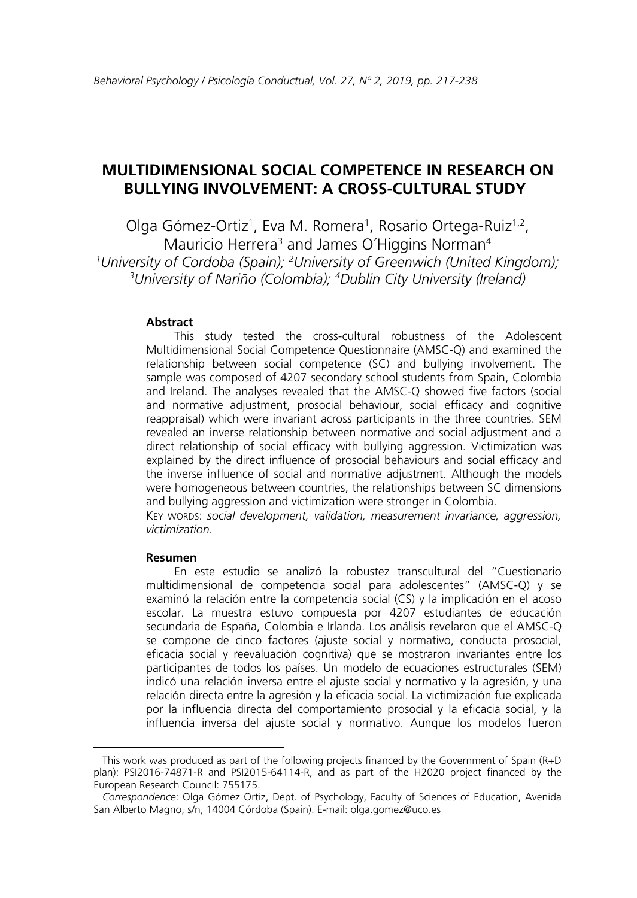# **MULTIDIMENSIONAL SOCIAL COMPETENCE IN RESEARCH ON BULLYING INVOLVEMENT: A CROSS-CULTURAL STUDY**<sup>1</sup>

Olga Gómez-Ortiz<sup>1</sup>, Eva M. Romera<sup>1</sup>, Rosario Ortega-Ruiz<sup>1,2</sup>, Mauricio Herrera<sup>3</sup> and James O'Higgins Norman<sup>4</sup> *1 University of Cordoba (Spain); 2 University of Greenwich (United Kingdom); 3 University of Nariño (Colombia); 4 Dublin City University (Ireland)* 

#### **Abstract**

This study tested the cross-cultural robustness of the Adolescent Multidimensional Social Competence Questionnaire (AMSC-Q) and examined the relationship between social competence (SC) and bullying involvement. The sample was composed of 4207 secondary school students from Spain, Colombia and Ireland. The analyses revealed that the AMSC-Q showed five factors (social and normative adjustment, prosocial behaviour, social efficacy and cognitive reappraisal) which were invariant across participants in the three countries. SEM revealed an inverse relationship between normative and social adjustment and a direct relationship of social efficacy with bullying aggression. Victimization was explained by the direct influence of prosocial behaviours and social efficacy and the inverse influence of social and normative adjustment. Although the models were homogeneous between countries, the relationships between SC dimensions and bullying aggression and victimization were stronger in Colombia.

KEY WORDS: *social development, validation, measurement invariance, aggression, victimization.* 

#### **Resumen**

En este estudio se analizó la robustez transcultural del "Cuestionario multidimensional de competencia social para adolescentes" (AMSC-Q) y se examinó la relación entre la competencia social (CS) y la implicación en el acoso escolar. La muestra estuvo compuesta por 4207 estudiantes de educación secundaria de España, Colombia e Irlanda. Los análisis revelaron que el AMSC-Q se compone de cinco factores (ajuste social y normativo, conducta prosocial, eficacia social y reevaluación cognitiva) que se mostraron invariantes entre los participantes de todos los países. Un modelo de ecuaciones estructurales (SEM) indicó una relación inversa entre el ajuste social y normativo y la agresión, y una relación directa entre la agresión y la eficacia social. La victimización fue explicada por la influencia directa del comportamiento prosocial y la eficacia social, y la influencia inversa del ajuste social y normativo. Aunque los modelos fueron

This work was produced as part of the following projects financed by the Government of Spain (R+D plan): PSI2016-74871-R and PSI2015-64114-R, and as part of the H2020 project financed by the European Research Council: 755175.

*Correspondence*: Olga Gómez Ortiz, Dept. of Psychology, Faculty of Sciences of Education, Avenida San Alberto Magno, s/n, 14004 Córdoba (Spain). E-mail: olga.gomez@uco.es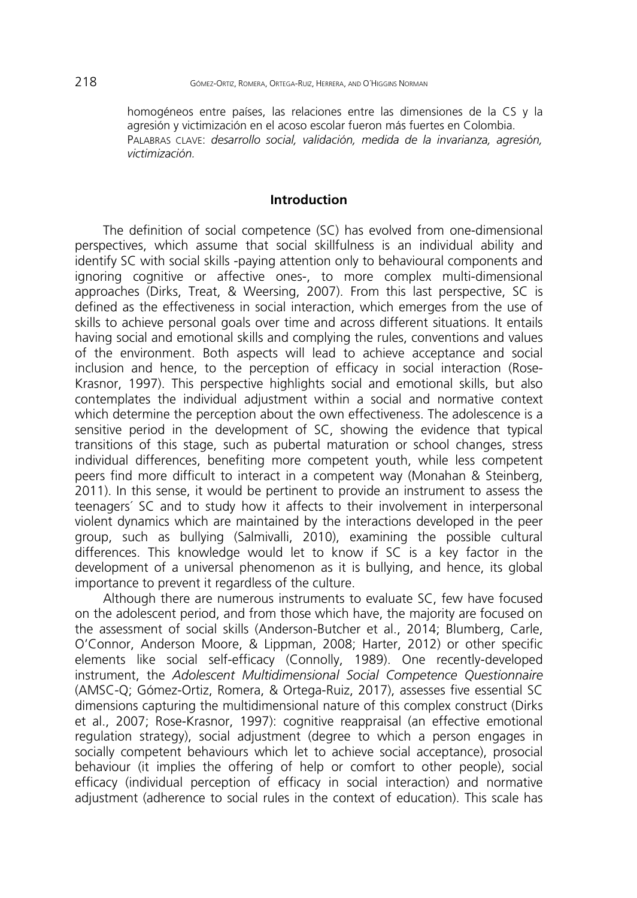homogéneos entre países, las relaciones entre las dimensiones de la CS y la agresión y victimización en el acoso escolar fueron más fuertes en Colombia. PALABRAS CLAVE: *desarrollo social, validación, medida de la invarianza, agresión, victimización.* 

### **Introduction**

The definition of social competence (SC) has evolved from one-dimensional perspectives, which assume that social skillfulness is an individual ability and identify SC with social skills -paying attention only to behavioural components and ignoring cognitive or affective ones-, to more complex multi-dimensional approaches (Dirks, Treat, & Weersing, 2007). From this last perspective, SC is defined as the effectiveness in social interaction, which emerges from the use of skills to achieve personal goals over time and across different situations. It entails having social and emotional skills and complying the rules, conventions and values of the environment. Both aspects will lead to achieve acceptance and social inclusion and hence, to the perception of efficacy in social interaction (Rose-Krasnor, 1997). This perspective highlights social and emotional skills, but also contemplates the individual adjustment within a social and normative context which determine the perception about the own effectiveness. The adolescence is a sensitive period in the development of SC, showing the evidence that typical transitions of this stage, such as pubertal maturation or school changes, stress individual differences, benefiting more competent youth, while less competent peers find more difficult to interact in a competent way (Monahan & Steinberg, 2011). In this sense, it would be pertinent to provide an instrument to assess the teenagers´ SC and to study how it affects to their involvement in interpersonal violent dynamics which are maintained by the interactions developed in the peer group, such as bullying (Salmivalli, 2010), examining the possible cultural differences. This knowledge would let to know if SC is a key factor in the development of a universal phenomenon as it is bullying, and hence, its global importance to prevent it regardless of the culture.

Although there are numerous instruments to evaluate SC, few have focused on the adolescent period, and from those which have, the majority are focused on the assessment of social skills (Anderson-Butcher et al., 2014; Blumberg, Carle, O'Connor, Anderson Moore, & Lippman, 2008; Harter, 2012) or other specific elements like social self-efficacy (Connolly, 1989). One recently-developed instrument, the *Adolescent Multidimensional Social Competence Questionnaire* (AMSC-Q; Gómez-Ortiz, Romera, & Ortega-Ruiz, 2017), assesses five essential SC dimensions capturing the multidimensional nature of this complex construct (Dirks et al., 2007; Rose-Krasnor, 1997): cognitive reappraisal (an effective emotional regulation strategy), social adjustment (degree to which a person engages in socially competent behaviours which let to achieve social acceptance), prosocial behaviour (it implies the offering of help or comfort to other people), social efficacy (individual perception of efficacy in social interaction) and normative adjustment (adherence to social rules in the context of education). This scale has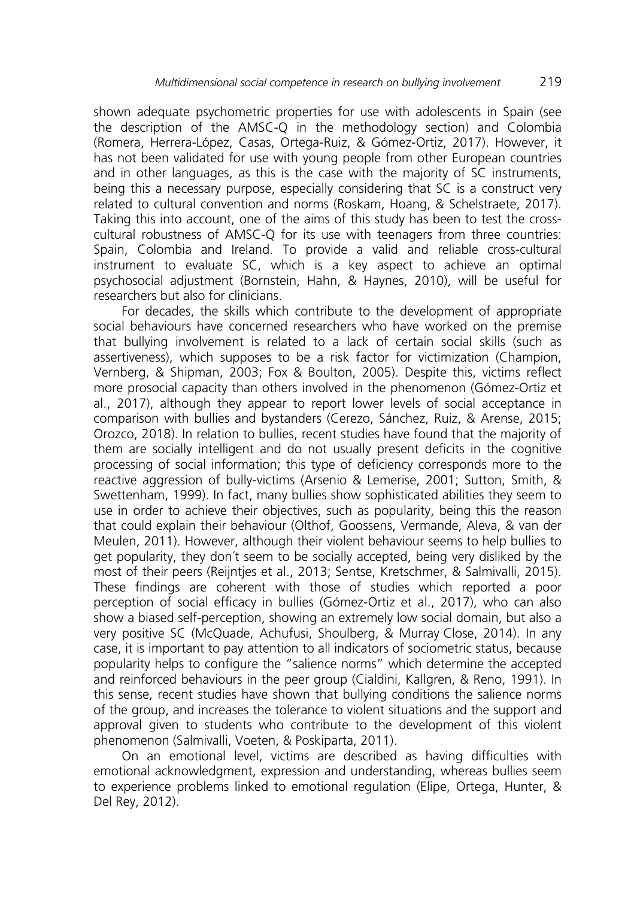shown adequate psychometric properties for use with adolescents in Spain (see the description of the AMSC-Q in the methodology section) and Colombia (Romera, Herrera-López, Casas, Ortega-Ruiz, & Gómez-Ortiz, 2017). However, it has not been validated for use with young people from other European countries and in other languages, as this is the case with the majority of SC instruments, being this a necessary purpose, especially considering that SC is a construct very related to cultural convention and norms (Roskam, Hoang, & Schelstraete, 2017). Taking this into account, one of the aims of this study has been to test the crosscultural robustness of AMSC-Q for its use with teenagers from three countries: Spain, Colombia and Ireland. To provide a valid and reliable cross-cultural instrument to evaluate SC, which is a key aspect to achieve an optimal psychosocial adjustment (Bornstein, Hahn, & Haynes, 2010), will be useful for researchers but also for clinicians.

For decades, the skills which contribute to the development of appropriate social behaviours have concerned researchers who have worked on the premise that bullying involvement is related to a lack of certain social skills (such as assertiveness), which supposes to be a risk factor for victimization (Champion, Vernberg, & Shipman, 2003; Fox & Boulton, 2005). Despite this, victims reflect more prosocial capacity than others involved in the phenomenon (Gómez-Ortiz et al., 2017), although they appear to report lower levels of social acceptance in comparison with bullies and bystanders (Cerezo, Sánchez, Ruiz, & Arense, 2015; Orozco, 2018). In relation to bullies, recent studies have found that the majority of them are socially intelligent and do not usually present deficits in the cognitive processing of social information; this type of deficiency corresponds more to the reactive aggression of bully-victims (Arsenio & Lemerise, 2001; Sutton, Smith, & Swettenham, 1999). In fact, many bullies show sophisticated abilities they seem to use in order to achieve their objectives, such as popularity, being this the reason that could explain their behaviour (Olthof, Goossens, Vermande, Aleva, & van der Meulen, 2011). However, although their violent behaviour seems to help bullies to get popularity, they don´t seem to be socially accepted, being very disliked by the most of their peers (Reijntjes et al., 2013; Sentse, Kretschmer, & Salmivalli, 2015). These findings are coherent with those of studies which reported a poor perception of social efficacy in bullies (Gómez-Ortiz et al., 2017), who can also show a biased self-perception, showing an extremely low social domain, but also a very positive SC (McQuade, Achufusi, Shoulberg, & Murray Close, 2014). In any case, it is important to pay attention to all indicators of sociometric status, because popularity helps to configure the "salience norms" which determine the accepted and reinforced behaviours in the peer group (Cialdini, Kallgren, & Reno, 1991). In this sense, recent studies have shown that bullying conditions the salience norms of the group, and increases the tolerance to violent situations and the support and approval given to students who contribute to the development of this violent phenomenon (Salmivalli, Voeten, & Poskiparta, 2011).

On an emotional level, victims are described as having difficulties with emotional acknowledgment, expression and understanding, whereas bullies seem to experience problems linked to emotional regulation (Elipe, Ortega, Hunter, & Del Rey, 2012).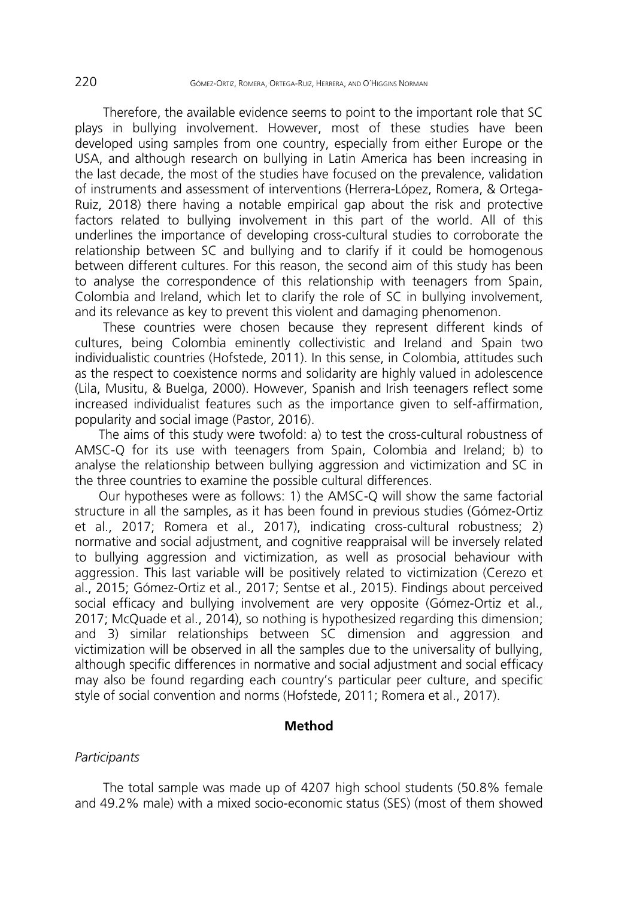Therefore, the available evidence seems to point to the important role that SC plays in bullying involvement. However, most of these studies have been developed using samples from one country, especially from either Europe or the USA, and although research on bullying in Latin America has been increasing in the last decade, the most of the studies have focused on the prevalence, validation of instruments and assessment of interventions (Herrera-López, Romera, & Ortega-Ruiz, 2018) there having a notable empirical gap about the risk and protective factors related to bullying involvement in this part of the world. All of this underlines the importance of developing cross-cultural studies to corroborate the relationship between SC and bullying and to clarify if it could be homogenous between different cultures. For this reason, the second aim of this study has been to analyse the correspondence of this relationship with teenagers from Spain, Colombia and Ireland, which let to clarify the role of SC in bullying involvement, and its relevance as key to prevent this violent and damaging phenomenon.

These countries were chosen because they represent different kinds of cultures, being Colombia eminently collectivistic and Ireland and Spain two individualistic countries (Hofstede, 2011). In this sense, in Colombia, attitudes such as the respect to coexistence norms and solidarity are highly valued in adolescence (Lila, Musitu, & Buelga, 2000). However, Spanish and Irish teenagers reflect some increased individualist features such as the importance given to self-affirmation, popularity and social image (Pastor, 2016).

The aims of this study were twofold: a) to test the cross-cultural robustness of AMSC-Q for its use with teenagers from Spain, Colombia and Ireland; b) to analyse the relationship between bullying aggression and victimization and SC in the three countries to examine the possible cultural differences.

Our hypotheses were as follows: 1) the AMSC-Q will show the same factorial structure in all the samples, as it has been found in previous studies (Gómez-Ortiz et al., 2017; Romera et al., 2017), indicating cross-cultural robustness; 2) normative and social adjustment, and cognitive reappraisal will be inversely related to bullying aggression and victimization, as well as prosocial behaviour with aggression. This last variable will be positively related to victimization (Cerezo et al., 2015; Gómez-Ortiz et al., 2017; Sentse et al., 2015). Findings about perceived social efficacy and bullying involvement are very opposite (Gómez-Ortiz et al., 2017; McQuade et al., 2014), so nothing is hypothesized regarding this dimension; and 3) similar relationships between SC dimension and aggression and victimization will be observed in all the samples due to the universality of bullying, although specific differences in normative and social adjustment and social efficacy may also be found regarding each country's particular peer culture, and specific style of social convention and norms (Hofstede, 2011; Romera et al., 2017).

### **Method**

#### *Participants*

The total sample was made up of 4207 high school students (50.8% female and 49.2% male) with a mixed socio-economic status (SES) (most of them showed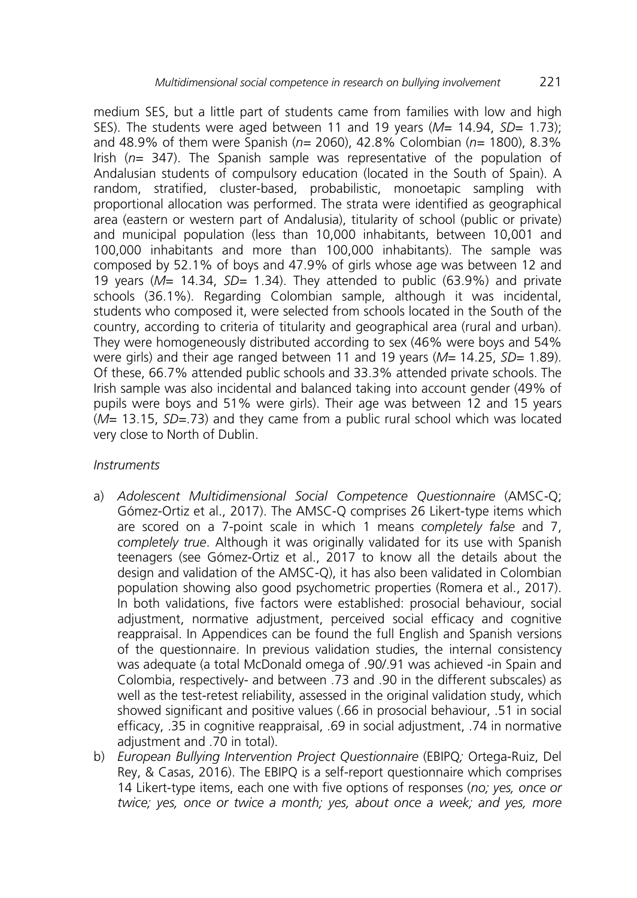medium SES, but a little part of students came from families with low and high SES). The students were aged between 11 and 19 years (*M*= 14.94, *SD*= 1.73); and 48.9% of them were Spanish (*n*= 2060), 42.8% Colombian (*n*= 1800), 8.3% Irish (*n*= 347). The Spanish sample was representative of the population of Andalusian students of compulsory education (located in the South of Spain). A random, stratified, cluster-based, probabilistic, monoetapic sampling with proportional allocation was performed. The strata were identified as geographical area (eastern or western part of Andalusia), titularity of school (public or private) and municipal population (less than 10,000 inhabitants, between 10,001 and 100,000 inhabitants and more than 100,000 inhabitants). The sample was composed by 52.1% of boys and 47.9% of girls whose age was between 12 and 19 years (*M*= 14.34, *SD=* 1.34). They attended to public (63.9%) and private schools (36.1%). Regarding Colombian sample, although it was incidental, students who composed it, were selected from schools located in the South of the country, according to criteria of titularity and geographical area (rural and urban). They were homogeneously distributed according to sex (46% were boys and 54% were girls) and their age ranged between 11 and 19 years (*M*= 14.25, *SD=* 1.89). Of these, 66.7% attended public schools and 33.3% attended private schools. The Irish sample was also incidental and balanced taking into account gender (49% of pupils were boys and 51% were girls). Their age was between 12 and 15 years (*M*= 13.15, *SD=*.73) and they came from a public rural school which was located very close to North of Dublin.

# *Instruments*

- a) *Adolescent Multidimensional Social Competence Questionnaire* (AMSC-Q; Gómez-Ortiz et al., 2017). The AMSC-Q comprises 26 Likert-type items which are scored on a 7-point scale in which 1 means *completely false* and 7, *completely true*. Although it was originally validated for its use with Spanish teenagers (see Gómez-Ortiz et al., 2017 to know all the details about the design and validation of the AMSC-Q), it has also been validated in Colombian population showing also good psychometric properties (Romera et al., 2017). In both validations, five factors were established: prosocial behaviour, social adjustment, normative adjustment, perceived social efficacy and cognitive reappraisal. In Appendices can be found the full English and Spanish versions of the questionnaire. In previous validation studies, the internal consistency was adequate (a total McDonald omega of .90/.91 was achieved -in Spain and Colombia, respectively- and between .73 and .90 in the different subscales) as well as the test-retest reliability, assessed in the original validation study, which showed significant and positive values (.66 in prosocial behaviour, .51 in social efficacy, .35 in cognitive reappraisal, .69 in social adjustment, .74 in normative adjustment and .70 in total).
- b) *European Bullying Intervention Project Questionnaire* (EBIPQ*;* Ortega-Ruiz, Del Rey, & Casas, 2016). The EBIPQ is a self-report questionnaire which comprises 14 Likert-type items, each one with five options of responses (*no; yes, once or twice; yes, once or twice a month; yes, about once a week; and yes, more*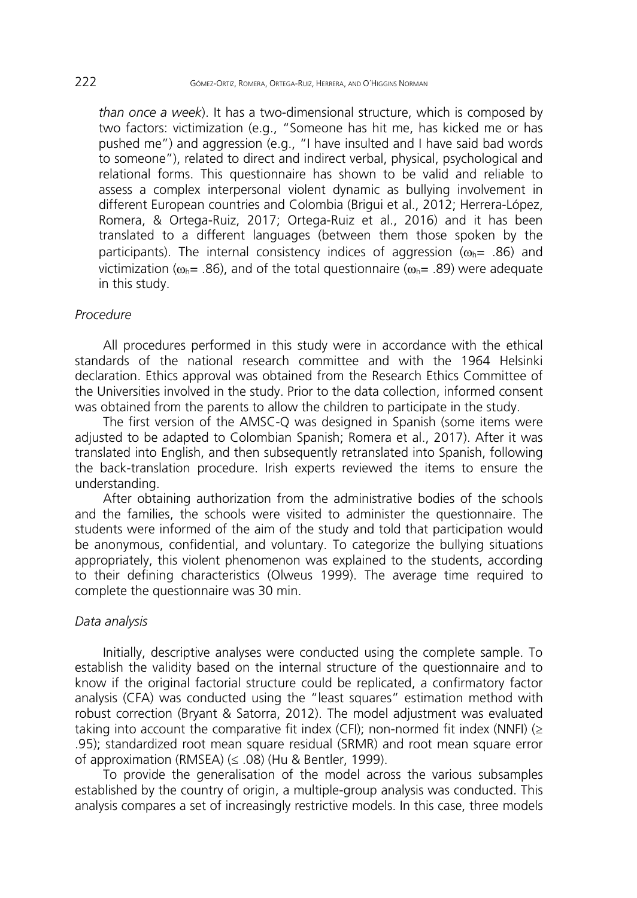*than once a week*). It has a two-dimensional structure, which is composed by two factors: victimization (e.g., "Someone has hit me, has kicked me or has pushed me") and aggression (e.g., "I have insulted and I have said bad words to someone"), related to direct and indirect verbal, physical, psychological and relational forms. This questionnaire has shown to be valid and reliable to assess a complex interpersonal violent dynamic as bullying involvement in different European countries and Colombia (Brigui et al., 2012; Herrera-López, Romera, & Ortega-Ruiz, 2017; Ortega-Ruiz et al., 2016) and it has been translated to a different languages (between them those spoken by the participants). The internal consistency indices of aggression ( $\omega_{h}$ = .86) and victimization ( $\omega_{h}$ = .86), and of the total questionnaire ( $\omega_{h}$ = .89) were adequate in this study.

### *Procedure*

All procedures performed in this study were in accordance with the ethical standards of the national research committee and with the 1964 Helsinki declaration. Ethics approval was obtained from the Research Ethics Committee of the Universities involved in the study. Prior to the data collection, informed consent was obtained from the parents to allow the children to participate in the study.

The first version of the AMSC-Q was designed in Spanish (some items were adjusted to be adapted to Colombian Spanish; Romera et al., 2017). After it was translated into English, and then subsequently retranslated into Spanish, following the back-translation procedure. Irish experts reviewed the items to ensure the understanding.

After obtaining authorization from the administrative bodies of the schools and the families, the schools were visited to administer the questionnaire. The students were informed of the aim of the study and told that participation would be anonymous, confidential, and voluntary. To categorize the bullying situations appropriately, this violent phenomenon was explained to the students, according to their defining characteristics (Olweus 1999). The average time required to complete the questionnaire was 30 min.

#### *Data analysis*

Initially, descriptive analyses were conducted using the complete sample. To establish the validity based on the internal structure of the questionnaire and to know if the original factorial structure could be replicated, a confirmatory factor analysis (CFA) was conducted using the "least squares" estimation method with robust correction (Bryant & Satorra, 2012). The model adjustment was evaluated taking into account the comparative fit index (CFI); non-normed fit index (NNFI) ( $\ge$ .95); standardized root mean square residual (SRMR) and root mean square error of approximation (RMSEA) (≤ .08) (Hu & Bentler, 1999).

To provide the generalisation of the model across the various subsamples established by the country of origin, a multiple-group analysis was conducted. This analysis compares a set of increasingly restrictive models. In this case, three models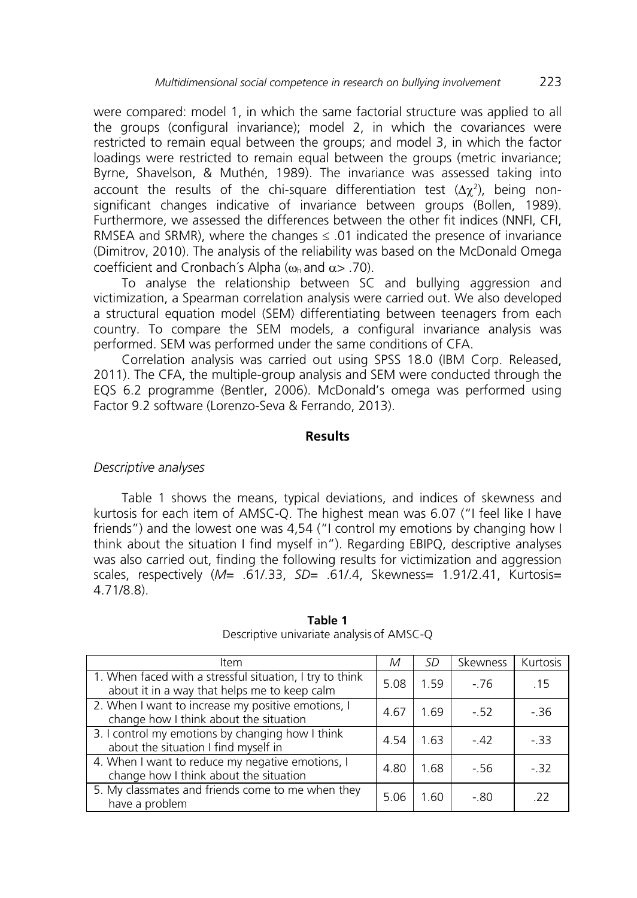were compared: model 1, in which the same factorial structure was applied to all the groups (configural invariance); model 2, in which the covariances were restricted to remain equal between the groups; and model 3, in which the factor loadings were restricted to remain equal between the groups (metric invariance; Byrne, Shavelson, & Muthén, 1989). The invariance was assessed taking into account the results of the chi-square differentiation test  $(\Delta \chi^2)$ , being nonsignificant changes indicative of invariance between groups (Bollen, 1989). Furthermore, we assessed the differences between the other fit indices (NNFI, CFI, RMSEA and SRMR), where the changes  $\leq$  01 indicated the presence of invariance (Dimitrov, 2010). The analysis of the reliability was based on the McDonald Omega coefficient and Cronbach's Alpha ( $\omega_{h}$  and  $\alpha$  > .70).

To analyse the relationship between SC and bullying aggression and victimization, a Spearman correlation analysis were carried out. We also developed a structural equation model (SEM) differentiating between teenagers from each country. To compare the SEM models, a configural invariance analysis was performed. SEM was performed under the same conditions of CFA.

Correlation analysis was carried out using SPSS 18.0 (IBM Corp. Released, 2011). The CFA, the multiple-group analysis and SEM were conducted through the EQS 6.2 programme (Bentler, 2006). McDonald's omega was performed using Factor 9.2 software (Lorenzo-Seva & Ferrando, 2013).

### **Results**

# *Descriptive analyses*

Table 1 shows the means, typical deviations, and indices of skewness and kurtosis for each item of AMSC-Q. The highest mean was 6.07 ("I feel like I have friends") and the lowest one was 4,54 ("I control my emotions by changing how I think about the situation I find myself in"). Regarding EBIPQ, descriptive analyses was also carried out, finding the following results for victimization and aggression scales, respectively (*M*= .61/.33, *SD*= .61/.4, Skewness= 1.91/2.41, Kurtosis= 4.71/8.8).

| Item                                                                                                     | M    | SD   | Skewness | Kurtosis |
|----------------------------------------------------------------------------------------------------------|------|------|----------|----------|
| 1. When faced with a stressful situation, I try to think<br>about it in a way that helps me to keep calm | 5.08 | 1.59 | $-76$    | -15      |
| 2. When I want to increase my positive emotions, I<br>change how I think about the situation             | 4.67 | 1.69 | $-52$    | - 36     |
| 3. I control my emotions by changing how I think<br>about the situation I find myself in                 | 4.54 | 1.63 | $-42$    | - 33     |
| 4. When I want to reduce my negative emotions, I<br>change how I think about the situation               | 4.80 | 1.68 | $-56$    | $-32$    |
| 5. My classmates and friends come to me when they<br>have a problem                                      | 5.06 | 1.60 | $-80$    | - 22     |

#### **Table 1** Descriptive univariate analysis of AMSC-Q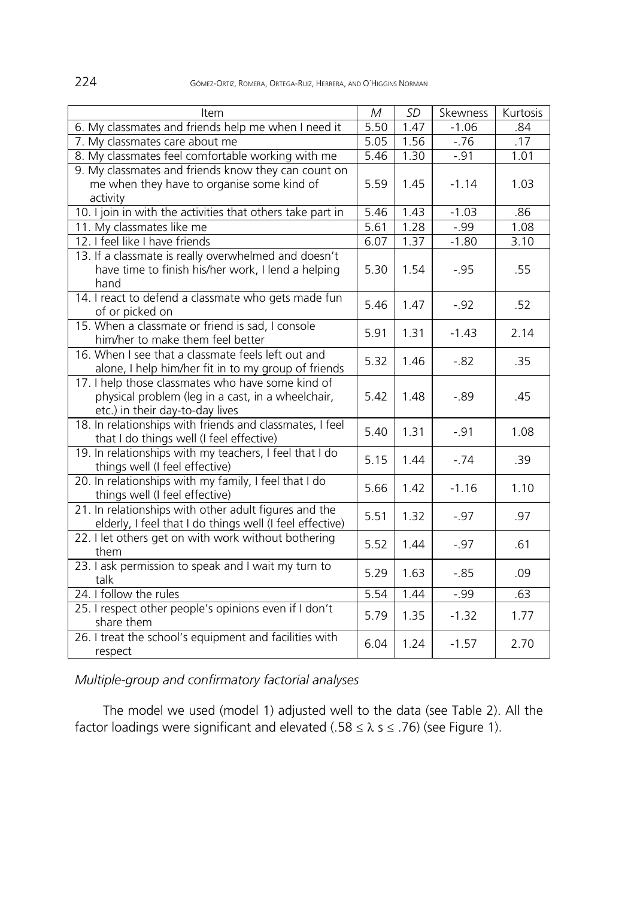224 GÓMEZ-ORTIZ, ROMERA, ORTEGA-RUIZ, HERRERA, AND O´HIGGINS NORMAN

| Item                                                                                                                                      | M    | <b>SD</b> | Skewness | Kurtosis |
|-------------------------------------------------------------------------------------------------------------------------------------------|------|-----------|----------|----------|
| 6. My classmates and friends help me when I need it                                                                                       | 5.50 | 1.47      | $-1.06$  | .84      |
| 7. My classmates care about me                                                                                                            | 5.05 | 1.56      | $-76$    | .17      |
| 8. My classmates feel comfortable working with me                                                                                         | 5.46 | 1.30      | $-.91$   | 1.01     |
| 9. My classmates and friends know they can count on<br>me when they have to organise some kind of<br>activity                             | 5.59 | 1.45      | $-1.14$  | 1.03     |
| 10. I join in with the activities that others take part in                                                                                | 5.46 | 1.43      | $-1.03$  | .86      |
| 11. My classmates like me                                                                                                                 | 5.61 | 1.28      | $-.99$   | 1.08     |
| 12. I feel like I have friends                                                                                                            | 6.07 | 1.37      | $-1.80$  | 3.10     |
| 13. If a classmate is really overwhelmed and doesn't<br>have time to finish his/her work, I lend a helping<br>hand                        | 5.30 | 1.54      | $-.95$   | .55      |
| 14. I react to defend a classmate who gets made fun<br>of or picked on                                                                    | 5.46 | 1.47      | $-.92$   | .52      |
| 15. When a classmate or friend is sad, I console<br>him/her to make them feel better                                                      | 5.91 | 1.31      | $-1.43$  | 2.14     |
| 16. When I see that a classmate feels left out and<br>alone, I help him/her fit in to my group of friends                                 | 5.32 | 1.46      | $-.82$   | .35      |
| 17. I help those classmates who have some kind of<br>physical problem (leg in a cast, in a wheelchair,<br>etc.) in their day-to-day lives | 5.42 | 1.48      | $-0.89$  | .45      |
| 18. In relationships with friends and classmates, I feel<br>that I do things well (I feel effective)                                      | 5.40 | 1.31      | $-.91$   | 1.08     |
| 19. In relationships with my teachers, I feel that I do<br>things well (I feel effective)                                                 | 5.15 | 1.44      | $-74$    | .39      |
| 20. In relationships with my family, I feel that I do<br>things well (I feel effective)                                                   | 5.66 | 1.42      | $-1.16$  | 1.10     |
| 21. In relationships with other adult figures and the<br>elderly, I feel that I do things well (I feel effective)                         | 5.51 | 1.32      | $-.97$   | .97      |
| 22. I let others get on with work without bothering<br>them                                                                               | 5.52 | 1.44      | $-.97$   | .61      |
| 23. I ask permission to speak and I wait my turn to<br>talk                                                                               | 5.29 | 1.63      | $-0.85$  | .09      |
| 24. I follow the rules                                                                                                                    | 5.54 | 1.44      | $-.99$   | .63      |
| 25. I respect other people's opinions even if I don't<br>share them                                                                       | 5.79 | 1.35      | $-1.32$  | 1.77     |
| 26. I treat the school's equipment and facilities with<br>respect                                                                         | 6.04 | 1.24      | $-1.57$  | 2.70     |

*Multiple-group and confirmatory factorial analyses* 

The model we used (model 1) adjusted well to the data (see Table 2). All the factor loadings were significant and elevated (.58  $\leq$   $\lambda$  s  $\leq$  .76) (see Figure 1).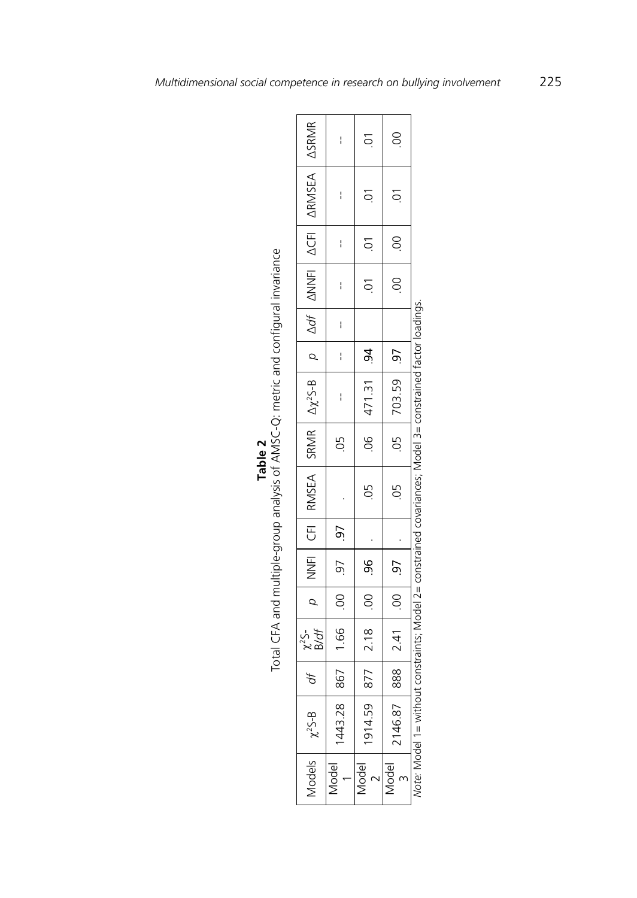|                                                                                   |                                                                                                                                            | I                         | $\sum$                | $\overline{S}$       |                                                                                         |
|-----------------------------------------------------------------------------------|--------------------------------------------------------------------------------------------------------------------------------------------|---------------------------|-----------------------|----------------------|-----------------------------------------------------------------------------------------|
|                                                                                   | $\rho$  NNFI CFI  RMSEA  SRMR   $\Delta\chi^2$ S-B   $\rho$   $\Delta df$   $\Delta N$ NFI   $\Delta$ CFI   $\Delta$ RMSEA   $\Delta$ SRMR | I                         | $10.$   $10.$   $10.$ | $10.00$ 00 0.        |                                                                                         |
|                                                                                   |                                                                                                                                            | I                         |                       |                      |                                                                                         |
|                                                                                   |                                                                                                                                            | I                         |                       |                      |                                                                                         |
|                                                                                   |                                                                                                                                            | I                         |                       |                      |                                                                                         |
|                                                                                   |                                                                                                                                            | ł                         |                       |                      |                                                                                         |
|                                                                                   |                                                                                                                                            | ł                         | $.06$ 471.31 .94      | $.05$   703.59   .97 |                                                                                         |
| Table 2                                                                           |                                                                                                                                            | 9.                        |                       |                      |                                                                                         |
| Total CFA and multiple-group analysis of AMSC-Q: metric and configural invariance |                                                                                                                                            |                           | 9.                    | 05                   | out constraints: Model 7= constrained covariances: Model 3= constrained factor loadings |
|                                                                                   |                                                                                                                                            |                           |                       |                      |                                                                                         |
|                                                                                   |                                                                                                                                            |                           |                       |                      |                                                                                         |
|                                                                                   |                                                                                                                                            |                           |                       |                      |                                                                                         |
|                                                                                   | $df = \begin{bmatrix} x^2S \\ B/df \end{bmatrix}$                                                                                          | 867   1.66   00   97   97 | 877 2.18 00 96        | 888 2.41 00 97       |                                                                                         |
|                                                                                   |                                                                                                                                            |                           |                       |                      |                                                                                         |
|                                                                                   | $\Lambda$ odels $\int \chi^2 S - B$                                                                                                        | 443.28                    | 914.59                | 2146.87              |                                                                                         |
|                                                                                   |                                                                                                                                            | Aodel                     | lodel                 | Aodel                | Note Node 1 - With                                                                      |

| J | Total CFA and multiple-group analysis of AMSC-Q: metric and configural invariance |
|---|-----------------------------------------------------------------------------------|
|   |                                                                                   |

ieninr *Note:* Model 1= without constraints; Model 2= constrained covariances; Model 3= constrained factor loadings.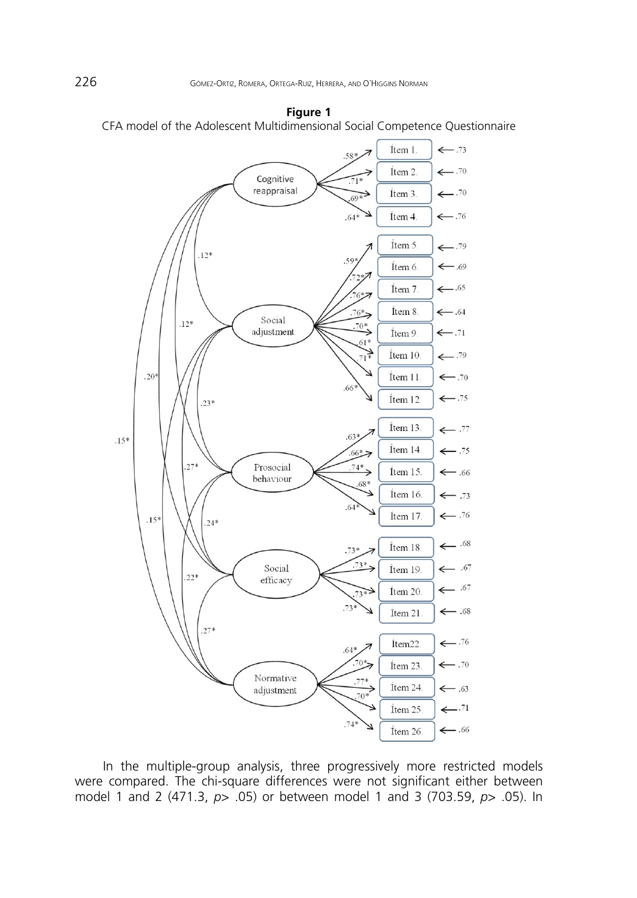



In the multiple-group analysis, three progressively more restricted models were compared. The chi-square differences were not significant either between model 1 and 2 (471.3, *p*> .05) or between model 1 and 3 (703.59, *p*> .05). In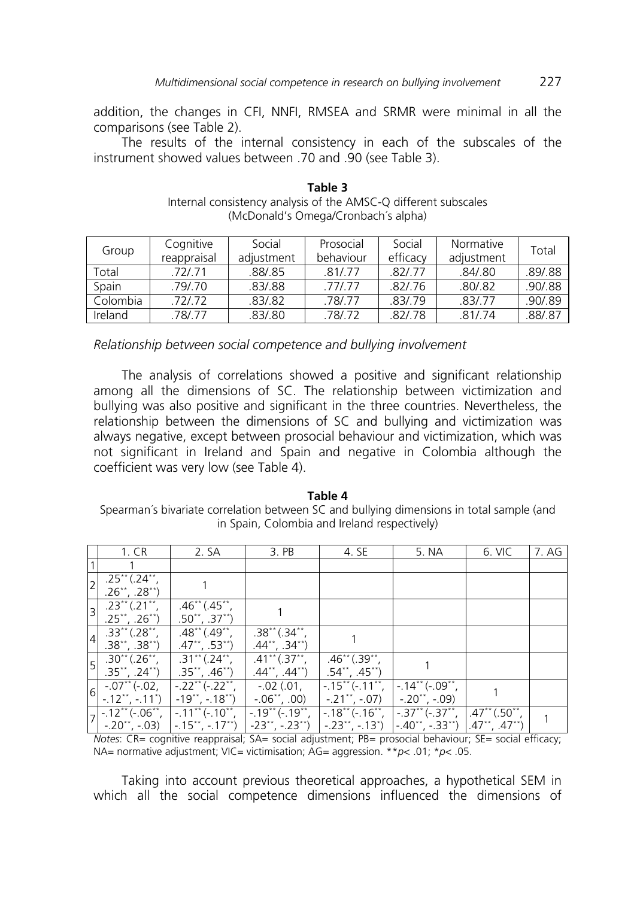addition, the changes in CFI, NNFI, RMSEA and SRMR were minimal in all the comparisons (see Table 2).

The results of the internal consistency in each of the subscales of the instrument showed values between .70 and .90 (see Table 3).

| Group    | Cognitive   | Social     | Prosocial | Social   | Normative  | Total    |
|----------|-------------|------------|-----------|----------|------------|----------|
|          | reappraisal | adiustment | behaviour | efficacy | adjustment |          |
| Total    | .72/.71     | .88/.85    | 81/77     | .82/.77  | .84/.80    | .89/.88  |
| Spain    | .79/.70     | .83/.88    | 77/77     | .82/.76  | .80/0.82   | .90/0.88 |
| Colombia | .72/.72     | .83/0.82   | 78/77     | 83/79    | 83/77      | .90/.89  |
| Ireland  | .78/.77     | .83/.80    | .78/.72   | 82/78    | .81/.74    | 88/87    |

**Table 3**  Internal consistency analysis of the AMSC-Q different subscales (McDonald's Omega/Cronbach´s alpha)

*Relationship between social competence and bullying involvement* 

The analysis of correlations showed a positive and significant relationship among all the dimensions of SC. The relationship between victimization and bullying was also positive and significant in the three countries. Nevertheless, the relationship between the dimensions of SC and bullying and victimization was always negative, except between prosocial behaviour and victimization, which was not significant in Ireland and Spain and negative in Colombia although the coefficient was very low (see Table 4).

**Table 4**  Spearman´s bivariate correlation between SC and bullying dimensions in total sample (and in Spain, Colombia and Ireland respectively)

|                | 1. CR                                                                                   | 2. SA                                                                                     | 3. PB                                                                                     | 4. SE                                                                                     | 5. NA                                                        | 6. VIC                                                                                  | 7. AG |
|----------------|-----------------------------------------------------------------------------------------|-------------------------------------------------------------------------------------------|-------------------------------------------------------------------------------------------|-------------------------------------------------------------------------------------------|--------------------------------------------------------------|-----------------------------------------------------------------------------------------|-------|
|                |                                                                                         |                                                                                           |                                                                                           |                                                                                           |                                                              |                                                                                         |       |
| $\overline{2}$ | $.25$ <sup>**</sup> (.24 <sup>**</sup> ,<br>$.26$ , $.28$ , $)$                         |                                                                                           |                                                                                           |                                                                                           |                                                              |                                                                                         |       |
| $\overline{3}$ | $.23$ <sup>**</sup> (.21 <sup>**</sup> ,<br>$.25$ , $.26$ , $)$                         | $.46$ <sup>**</sup> (.45 <sup>**</sup> ,<br>$.50^{**}, .37^{**}$                          |                                                                                           |                                                                                           |                                                              |                                                                                         |       |
| $\overline{4}$ | $.33$ <sup>**</sup> (.28 <sup>**</sup> ,<br>$.38$ <sup>**</sup> , $.38$ <sup>**</sup> ) | $.48$ <sup>**</sup> $(.49$ <sup>**</sup> ,<br>$.47$ <sup>**</sup> , $.53$ <sup>**</sup> ) | $.38**$ $(.34**$ ,<br>$.44$ <sup>**</sup> , $.34$ <sup>**</sup> )                         |                                                                                           |                                                              |                                                                                         |       |
| $\overline{5}$ | $.30^{**}(.26^{**},$<br>$.35$ **, $.24$ **)                                             | $.31***$ $(.24**)$<br>$.35$ <sup>**</sup> , $.46$ <sup>**</sup> )                         | $.41$ <sup>**</sup> $(.37$ <sup>**</sup> ,<br>$.44$ <sup>**</sup> , $.44$ <sup>**</sup> ) | $.46$ <sup>**</sup> $(.39$ <sup>**</sup> ,<br>$.54$ <sup>**</sup> , $.45$ <sup>**</sup> ) |                                                              |                                                                                         |       |
| 6              | $-.07$ ** (-.02,<br>$-12$ <sup>**</sup> , $-11$ <sup>*</sup> )                          | $-.22$ <sup>**</sup> ( $-.22$ <sup>**</sup> ,<br>$-19$ **, $-18$ **)                      | $-02$ (.01,<br>$-.06$ <sup>**</sup> , .00)                                                | $-.15$ <sup>**</sup> ( $-.11$ <sup>**</sup> ,<br>$-21$ $\rightarrow$ $-07$                | $-14**(-09**)$<br>$-20^{**}, -09$                            |                                                                                         |       |
|                | , -.12** (-.06**,<br>$-.20$ **, $-.03)$                                                 | $-11$ <sup>**</sup> ( $-10$ <sup>**</sup> ,<br>$-15$ **, $-17$ **)                        | $-19**(-19**)$<br>$-23$ **, $-.23$ **)                                                    | $-.18$ <sup>**</sup> ( $-.16$ <sup>**</sup> ,<br>$-23$ **, $-13$ *)                       | $ -37**(-.37**$<br>$\left[-.40^{**},-.33^{**}\right)\right]$ | $.47$ <sup>**</sup> $(.50$ <sup>**</sup> .<br>$.47$ <sup>**</sup> , $.47$ <sup>**</sup> |       |

*Notes*: CR= cognitive reappraisal; SA= social adjustment; PB= prosocial behaviour; SE= social efficacy; NA= normative adjustment; VIC= victimisation; AG= aggression. \*\**p*< .01; \**p*< .05.

Taking into account previous theoretical approaches, a hypothetical SEM in which all the social competence dimensions influenced the dimensions of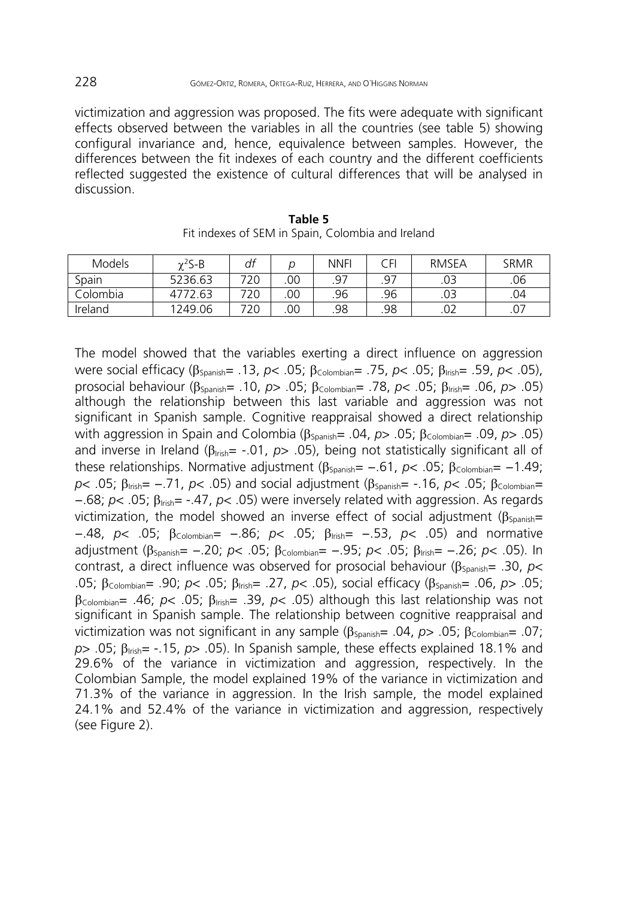victimization and aggression was proposed. The fits were adequate with significant effects observed between the variables in all the countries (see table 5) showing configural invariance and, hence, equivalence between samples. However, the differences between the fit indexes of each country and the different coefficients reflected suggested the existence of cultural differences that will be analysed in discussion.

| <b>Models</b> | $\gamma^2$ S-B | df  |     | <b>NNFI</b> | ≘FL. | <b>RMSEA</b> | <b>SRMR</b> |
|---------------|----------------|-----|-----|-------------|------|--------------|-------------|
| Spain         | 5236.63        | 720 | .00 | .97         | 97   | .03          | .06         |
| Colombia      | 4772.63        | 720 | .00 | .96         | .96  | .03          | .04         |
| Ireland       | 1249.06        | 720 | .00 | .98         | .98  | .02          | .07         |

**Table 5**  Fit indexes of SEM in Spain, Colombia and Ireland

The model showed that the variables exerting a direct influence on aggression were social efficacy (Spanish= .13, *p*< .05; Colombian= .75, *p*< .05; Irish= .59, *p*< .05), prosocial behaviour (Spanish= .10, *p*> .05; Colombian= .78, *p*< .05; Irish= .06, *p*> .05) although the relationship between this last variable and aggression was not significant in Spanish sample. Cognitive reappraisal showed a direct relationship with aggression in Spain and Colombia (β<sub>Spanish</sub>= .04, *p*> .05; β<sub>Colombian</sub>= .09, *p*> .05) and inverse in Ireland ( $\beta_{\text{train}}$  -.01,  $p$  > .05), being not statistically significant all of these relationships. Normative adjustment (β<sub>Spanish</sub>= -.61, *p*< .05; β<sub>Colombian</sub>= -1.49; *p*< .05; β<sub>Irish</sub> = −.71, *p*< .05) and social adjustment (β<sub>Spanish</sub> = -.16, *p*< .05; β<sub>Colombian</sub> = −.68; *p*< .05; Irish= -.47, *p*< .05) were inversely related with aggression. As regards victimization, the model showed an inverse effect of social adjustment ( $\beta_{\text{spanish}}=$ −.48, *p*< .05; Colombian= −.86; *p*< .05; Irish= −.53, *p*< .05) and normative adjustment (β<sub>Spanish</sub> = −.20; *p*< .05; β<sub>Colombian</sub> = −.95; *p*< .05; β<sub>Irish</sub> = −.26; *p*< .05). In contrast, a direct influence was observed for prosocial behaviour ( $\beta_{\text{Svanish}}$ = .30, *p*< .05; Colombian= .90; *p*< .05; Irish= .27, *p*< .05), social efficacy (Spanish= .06, *p*> .05;  $\beta$ <sub>Colombian</sub>= .46; *p*< .05;  $\beta$ <sub>Irish</sub>= .39, *p*< .05) although this last relationship was not significant in Spanish sample. The relationship between cognitive reappraisal and victimization was not significant in any sample ( $\beta_{\text{Spanish}}$ = .04,  $p$  > .05;  $\beta_{\text{Colombian}}$ = .07;  $p$ > .05;  $\beta_{\text{train}}$  = -.15,  $p$ > .05). In Spanish sample, these effects explained 18.1% and 29.6% of the variance in victimization and aggression, respectively. In the Colombian Sample, the model explained 19% of the variance in victimization and 71.3% of the variance in aggression. In the Irish sample, the model explained 24.1% and 52.4% of the variance in victimization and aggression, respectively (see Figure 2).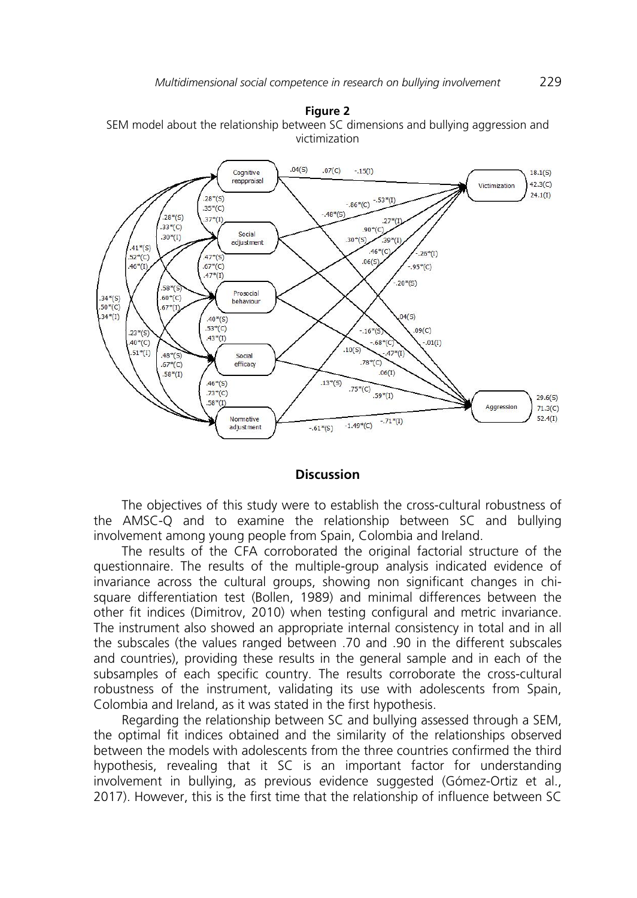#### **Figure 2**

SEM model about the relationship between SC dimensions and bullying aggression and victimization



### **Discussion**

The objectives of this study were to establish the cross-cultural robustness of the AMSC-Q and to examine the relationship between SC and bullying involvement among young people from Spain, Colombia and Ireland.

The results of the CFA corroborated the original factorial structure of the questionnaire. The results of the multiple-group analysis indicated evidence of invariance across the cultural groups, showing non significant changes in chisquare differentiation test (Bollen, 1989) and minimal differences between the other fit indices (Dimitrov, 2010) when testing configural and metric invariance. The instrument also showed an appropriate internal consistency in total and in all the subscales (the values ranged between .70 and .90 in the different subscales and countries), providing these results in the general sample and in each of the subsamples of each specific country. The results corroborate the cross-cultural robustness of the instrument, validating its use with adolescents from Spain, Colombia and Ireland, as it was stated in the first hypothesis.

Regarding the relationship between SC and bullying assessed through a SEM, the optimal fit indices obtained and the similarity of the relationships observed between the models with adolescents from the three countries confirmed the third hypothesis, revealing that it SC is an important factor for understanding involvement in bullying, as previous evidence suggested (Gómez-Ortiz et al., 2017). However, this is the first time that the relationship of influence between SC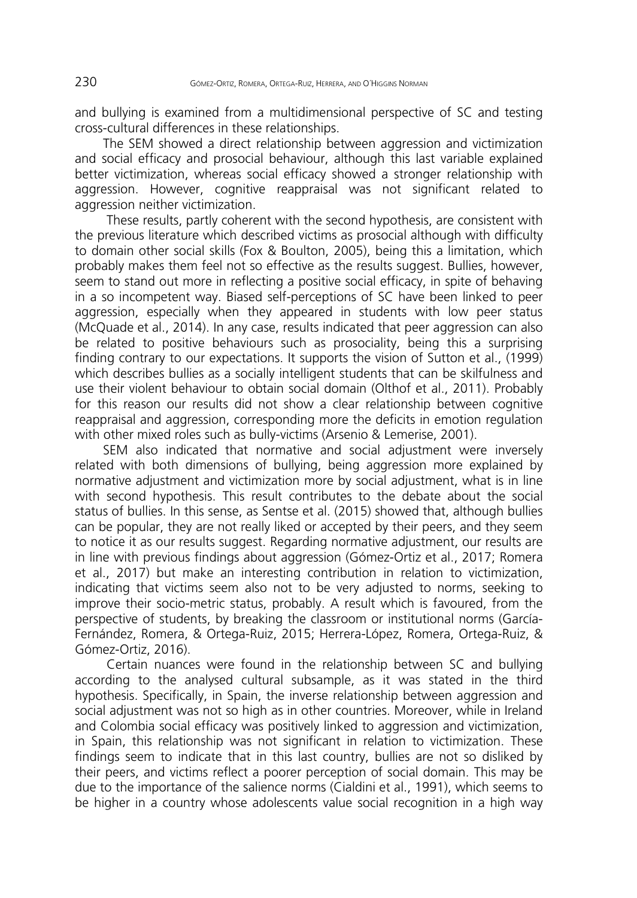and bullying is examined from a multidimensional perspective of SC and testing cross-cultural differences in these relationships.

The SEM showed a direct relationship between aggression and victimization and social efficacy and prosocial behaviour, although this last variable explained better victimization, whereas social efficacy showed a stronger relationship with aggression. However, cognitive reappraisal was not significant related to aggression neither victimization.

 These results, partly coherent with the second hypothesis, are consistent with the previous literature which described victims as prosocial although with difficulty to domain other social skills (Fox & Boulton, 2005), being this a limitation, which probably makes them feel not so effective as the results suggest. Bullies, however, seem to stand out more in reflecting a positive social efficacy, in spite of behaving in a so incompetent way. Biased self-perceptions of SC have been linked to peer aggression, especially when they appeared in students with low peer status (McQuade et al., 2014). In any case, results indicated that peer aggression can also be related to positive behaviours such as prosociality, being this a surprising finding contrary to our expectations. It supports the vision of Sutton et al., (1999) which describes bullies as a socially intelligent students that can be skilfulness and use their violent behaviour to obtain social domain (Olthof et al., 2011). Probably for this reason our results did not show a clear relationship between cognitive reappraisal and aggression, corresponding more the deficits in emotion regulation with other mixed roles such as bully-victims (Arsenio & Lemerise, 2001).

SEM also indicated that normative and social adjustment were inversely related with both dimensions of bullying, being aggression more explained by normative adjustment and victimization more by social adjustment, what is in line with second hypothesis. This result contributes to the debate about the social status of bullies. In this sense, as Sentse et al. (2015) showed that, although bullies can be popular, they are not really liked or accepted by their peers, and they seem to notice it as our results suggest. Regarding normative adjustment, our results are in line with previous findings about aggression (Gómez-Ortiz et al., 2017; Romera et al., 2017) but make an interesting contribution in relation to victimization, indicating that victims seem also not to be very adjusted to norms, seeking to improve their socio-metric status, probably. A result which is favoured, from the perspective of students, by breaking the classroom or institutional norms (García-Fernández, Romera, & Ortega-Ruiz, 2015; Herrera-López, Romera, Ortega-Ruiz, & Gómez-Ortiz, 2016).

 Certain nuances were found in the relationship between SC and bullying according to the analysed cultural subsample, as it was stated in the third hypothesis. Specifically, in Spain, the inverse relationship between aggression and social adjustment was not so high as in other countries. Moreover, while in Ireland and Colombia social efficacy was positively linked to aggression and victimization, in Spain, this relationship was not significant in relation to victimization. These findings seem to indicate that in this last country, bullies are not so disliked by their peers, and victims reflect a poorer perception of social domain. This may be due to the importance of the salience norms (Cialdini et al., 1991), which seems to be higher in a country whose adolescents value social recognition in a high way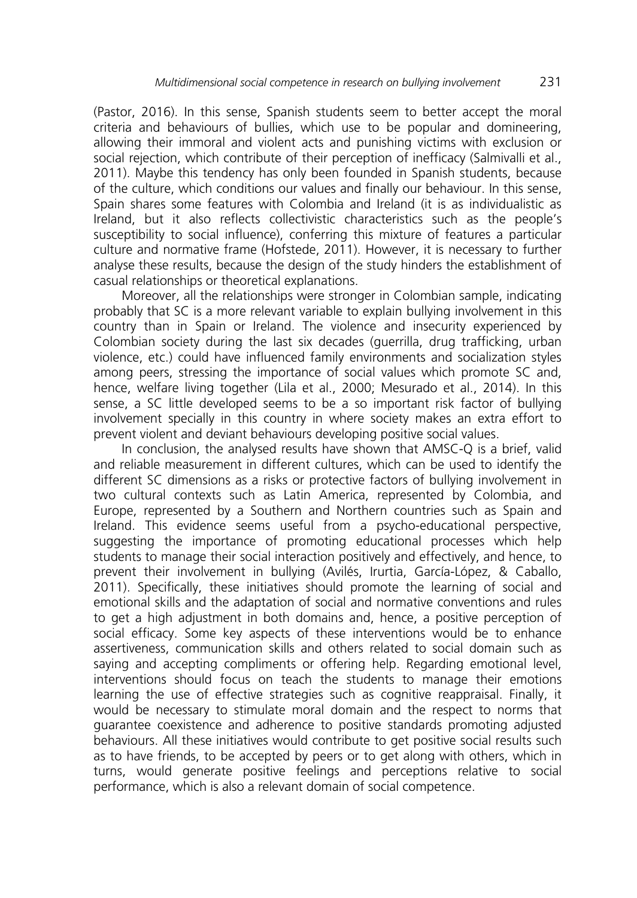(Pastor, 2016). In this sense, Spanish students seem to better accept the moral criteria and behaviours of bullies, which use to be popular and domineering, allowing their immoral and violent acts and punishing victims with exclusion or social rejection, which contribute of their perception of inefficacy (Salmivalli et al., 2011). Maybe this tendency has only been founded in Spanish students, because of the culture, which conditions our values and finally our behaviour. In this sense, Spain shares some features with Colombia and Ireland (it is as individualistic as Ireland, but it also reflects collectivistic characteristics such as the people's susceptibility to social influence), conferring this mixture of features a particular culture and normative frame (Hofstede, 2011). However, it is necessary to further analyse these results, because the design of the study hinders the establishment of casual relationships or theoretical explanations.

Moreover, all the relationships were stronger in Colombian sample, indicating probably that SC is a more relevant variable to explain bullying involvement in this country than in Spain or Ireland. The violence and insecurity experienced by Colombian society during the last six decades (guerrilla, drug trafficking, urban violence, etc.) could have influenced family environments and socialization styles among peers, stressing the importance of social values which promote SC and, hence, welfare living together (Lila et al., 2000; Mesurado et al., 2014). In this sense, a SC little developed seems to be a so important risk factor of bullying involvement specially in this country in where society makes an extra effort to prevent violent and deviant behaviours developing positive social values.

In conclusion, the analysed results have shown that AMSC-Q is a brief, valid and reliable measurement in different cultures, which can be used to identify the different SC dimensions as a risks or protective factors of bullying involvement in two cultural contexts such as Latin America, represented by Colombia, and Europe, represented by a Southern and Northern countries such as Spain and Ireland. This evidence seems useful from a psycho-educational perspective, suggesting the importance of promoting educational processes which help students to manage their social interaction positively and effectively, and hence, to prevent their involvement in bullying (Avilés, Irurtia, García-López, & Caballo, 2011). Specifically, these initiatives should promote the learning of social and emotional skills and the adaptation of social and normative conventions and rules to get a high adjustment in both domains and, hence, a positive perception of social efficacy. Some key aspects of these interventions would be to enhance assertiveness, communication skills and others related to social domain such as saying and accepting compliments or offering help. Regarding emotional level, interventions should focus on teach the students to manage their emotions learning the use of effective strategies such as cognitive reappraisal. Finally, it would be necessary to stimulate moral domain and the respect to norms that guarantee coexistence and adherence to positive standards promoting adjusted behaviours. All these initiatives would contribute to get positive social results such as to have friends, to be accepted by peers or to get along with others, which in turns, would generate positive feelings and perceptions relative to social performance, which is also a relevant domain of social competence.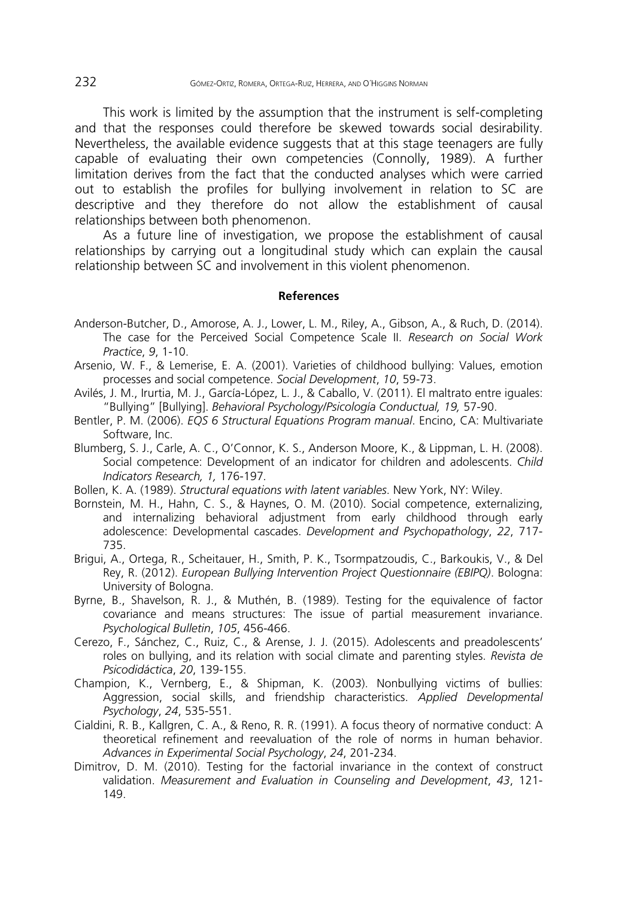This work is limited by the assumption that the instrument is self-completing and that the responses could therefore be skewed towards social desirability. Nevertheless, the available evidence suggests that at this stage teenagers are fully capable of evaluating their own competencies (Connolly, 1989). A further limitation derives from the fact that the conducted analyses which were carried out to establish the profiles for bullying involvement in relation to SC are descriptive and they therefore do not allow the establishment of causal relationships between both phenomenon.

As a future line of investigation, we propose the establishment of causal relationships by carrying out a longitudinal study which can explain the causal relationship between SC and involvement in this violent phenomenon.

#### **References**

- Anderson-Butcher, D., Amorose, A. J., Lower, L. M., Riley, A., Gibson, A., & Ruch, D. (2014). The case for the Perceived Social Competence Scale II. *Research on Social Work Practice*, *9*, 1-10.
- Arsenio, W. F., & Lemerise, E. A. (2001). Varieties of childhood bullying: Values, emotion processes and social competence. *Social Development*, *10*, 59-73.
- Avilés, J. M., Irurtia, M. J., García-López, L. J., & Caballo, V. (2011). El maltrato entre iguales: "Bullying" [Bullying]. *Behavioral Psychology/Psicología Conductual, 19,* 57-90.
- Bentler, P. M. (2006). *EQS 6 Structural Equations Program manual*. Encino, CA: Multivariate Software, Inc.
- Blumberg, S. J., Carle, A. C., O'Connor, K. S., Anderson Moore, K., & Lippman, L. H. (2008). Social competence: Development of an indicator for children and adolescents. *Child Indicators Research, 1,* 176-197*.*
- Bollen, K. A. (1989). *Structural equations with latent variables*. New York, NY: Wiley.
- Bornstein, M. H., Hahn, C. S., & Haynes, O. M. (2010). Social competence, externalizing, and internalizing behavioral adjustment from early childhood through early adolescence: Developmental cascades. *Development and Psychopathology*, *22*, 717- 735.
- Brigui, A., Ortega, R., Scheitauer, H., Smith, P. K., Tsormpatzoudis, C., Barkoukis, V., & Del Rey, R. (2012). *European Bullying Intervention Project Questionnaire (EBIPQ)*. Bologna: University of Bologna.
- Byrne, B., Shavelson, R. J., & Muthén, B. (1989). Testing for the equivalence of factor covariance and means structures: The issue of partial measurement invariance. *Psychological Bulletin*, *105*, 456-466.
- Cerezo, F., Sánchez, C., Ruiz, C., & Arense, J. J. (2015). Adolescents and preadolescents' roles on bullying, and its relation with social climate and parenting styles. *Revista de Psicodidáctica*, *20*, 139-155.
- Champion, K., Vernberg, E., & Shipman, K. (2003). Nonbullying victims of bullies: Aggression, social skills, and friendship characteristics. *Applied Developmental Psychology*, *24*, 535-551.
- Cialdini, R. B., Kallgren, C. A., & Reno, R. R. (1991). A focus theory of normative conduct: A theoretical refinement and reevaluation of the role of norms in human behavior. *Advances in Experimental Social Psychology*, *24*, 201-234.
- Dimitrov, D. M. (2010). Testing for the factorial invariance in the context of construct validation. *Measurement and Evaluation in Counseling and Development*, *43*, 121- 149.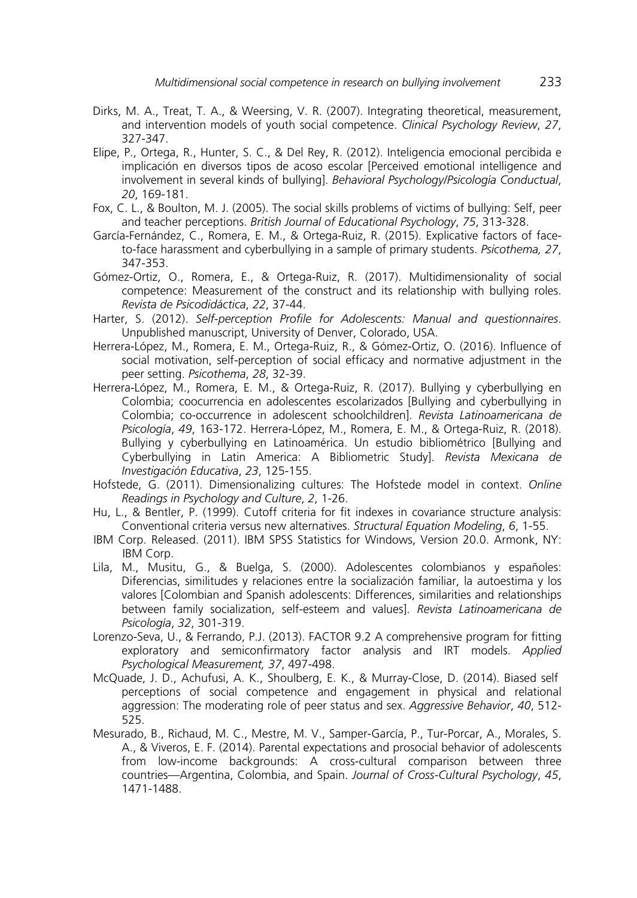- Dirks, M. A., Treat, T. A., & Weersing, V. R. (2007). Integrating theoretical, measurement, and intervention models of youth social competence. *Clinical Psychology Review*, *27*, 327-347.
- Elipe, P., Ortega, R., Hunter, S. C., & Del Rey, R. (2012). Inteligencia emocional percibida e implicación en diversos tipos de acoso escolar [Perceived emotional intelligence and involvement in several kinds of bullying]. *Behavioral Psychology/Psicología Conductual*, *20*, 169-181.
- Fox, C. L., & Boulton, M. J. (2005). The social skills problems of victims of bullying: Self, peer and teacher perceptions. *British Journal of Educational Psychology*, *75*, 313-328.
- García-Fernández, C., Romera, E. M., & Ortega-Ruiz, R. (2015). Explicative factors of faceto-face harassment and cyberbullying in a sample of primary students. *Psicothema, 27*, 347-353.
- Gómez-Ortiz, O., Romera, E., & Ortega-Ruiz, R. (2017). Multidimensionality of social competence: Measurement of the construct and its relationship with bullying roles. *Revista de Psicodidáctica*, *22*, 37-44.
- Harter, S. (2012). *Self-perception Profile for Adolescents: Manual and questionnaires*. Unpublished manuscript, University of Denver, Colorado, USA.
- Herrera-López, M., Romera, E. M., Ortega-Ruiz, R., & Gómez-Ortiz, O. (2016). Influence of social motivation, self-perception of social efficacy and normative adjustment in the peer setting. *Psicothema*, *28*, 32-39.
- Herrera-López, M., Romera, E. M., & Ortega-Ruiz, R. (2017). Bullying y cyberbullying en Colombia; coocurrencia en adolescentes escolarizados [Bullying and cyberbullying in Colombia; co-occurrence in adolescent schoolchildren]. *Revista Latinoamericana de Psicología*, *49*, 163-172. Herrera-López, M., Romera, E. M., & Ortega-Ruiz, R. (2018). Bullying y cyberbullying en Latinoamérica. Un estudio bibliométrico [Bullying and Cyberbullying in Latin America: A Bibliometric Study]. *Revista Mexicana de Investigación Educativa*, *23*, 125-155.
- Hofstede, G. (2011). Dimensionalizing cultures: The Hofstede model in context. *Online Readings in Psychology and Culture*, *2*, 1-26.
- Hu, L., & Bentler, P. (1999). Cutoff criteria for fit indexes in covariance structure analysis: Conventional criteria versus new alternatives. *Structural Equation Modeling*, *6*, 1-55.
- IBM Corp. Released. (2011). IBM SPSS Statistics for Windows, Version 20.0. Armonk, NY: IBM Corp.
- Lila, M., Musitu, G., & Buelga, S. (2000). Adolescentes colombianos y españoles: Diferencias, similitudes y relaciones entre la socialización familiar, la autoestima y los valores [Colombian and Spanish adolescents: Differences, similarities and relationships between family socialization, self-esteem and values]. *Revista Latinoamericana de Psicología*, *32*, 301-319.
- Lorenzo-Seva, U., & Ferrando, P.J. (2013). FACTOR 9.2 A comprehensive program for fitting exploratory and semiconfirmatory factor analysis and IRT models. *Applied Psychological Measurement, 37*, 497-498.
- McQuade, J. D., Achufusi, A. K., Shoulberg, E. K., & Murray-Close, D. (2014). Biased self perceptions of social competence and engagement in physical and relational aggression: The moderating role of peer status and sex. *Aggressive Behavior*, *40*, 512- 525.
- Mesurado, B., Richaud, M. C., Mestre, M. V., Samper-García, P., Tur-Porcar, A., Morales, S. A., & Viveros, E. F. (2014). Parental expectations and prosocial behavior of adolescents from low-income backgrounds: A cross-cultural comparison between three countries—Argentina, Colombia, and Spain. *Journal of Cross-Cultural Psychology*, *45*, 1471-1488.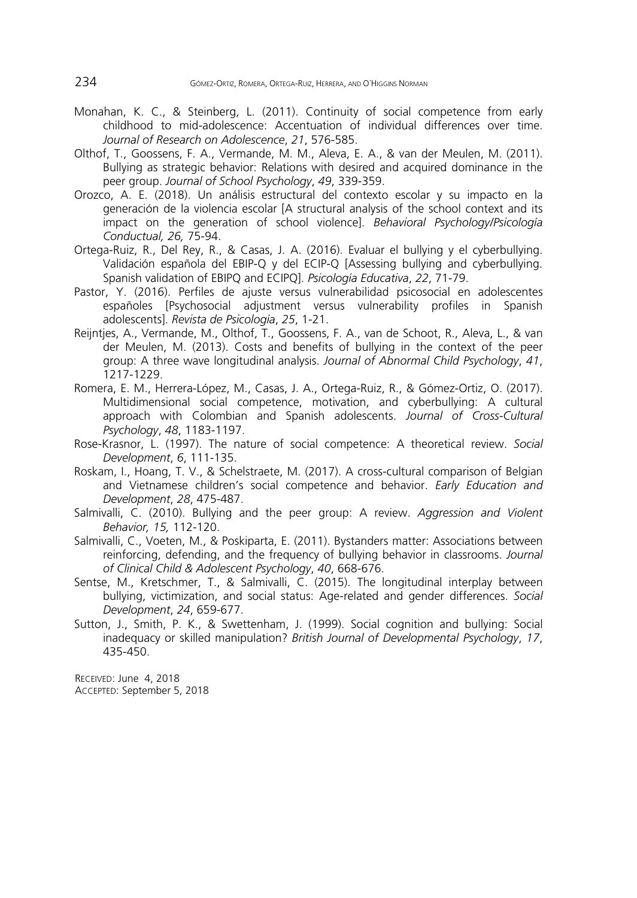- Monahan, K. C., & Steinberg, L. (2011). Continuity of social competence from early childhood to mid-adolescence: Accentuation of individual differences over time. *Journal of Research on Adolescence*, *21*, 576-585.
- Olthof, T., Goossens, F. A., Vermande, M. M., Aleva, E. A., & van der Meulen, M. (2011). Bullying as strategic behavior: Relations with desired and acquired dominance in the peer group. *Journal of School Psychology*, *49*, 339-359.
- Orozco, A. E. (2018). Un análisis estructural del contexto escolar y su impacto en la generación de la violencia escolar [A structural analysis of the school context and its impact on the generation of school violence]. *Behavioral Psychology/Psicología Conductual, 26,* 75-94.
- Ortega-Ruiz, R., Del Rey, R., & Casas, J. A. (2016). Evaluar el bullying y el cyberbullying. Validación española del EBIP-Q y del ECIP-Q [Assessing bullying and cyberbullying. Spanish validation of EBIPQ and ECIPQ]. *Psicología Educativa*, *22*, 71-79.
- Pastor, Y. (2016). Perfiles de ajuste versus vulnerabilidad psicosocial en adolescentes españoles [Psychosocial adjustment versus vulnerability profiles in Spanish adolescents]. *Revista de Psicología*, *25*, 1-21.
- Reijntjes, A., Vermande, M., Olthof, T., Goossens, F. A., van de Schoot, R., Aleva, L., & van der Meulen, M. (2013). Costs and benefits of bullying in the context of the peer group: A three wave longitudinal analysis. *Journal of Abnormal Child Psychology*, *41*, 1217-1229.
- Romera, E. M., Herrera-López, M., Casas, J. A., Ortega-Ruiz, R., & Gómez-Ortiz, O. (2017). Multidimensional social competence, motivation, and cyberbullying: A cultural approach with Colombian and Spanish adolescents. *Journal of Cross-Cultural Psychology*, *48*, 1183-1197.
- Rose-Krasnor, L. (1997). The nature of social competence: A theoretical review. *Social Development*, *6*, 111-135.
- Roskam, I., Hoang, T. V., & Schelstraete, M. (2017). A cross-cultural comparison of Belgian and Vietnamese children's social competence and behavior. *Early Education and Development*, *28*, 475-487.
- Salmivalli, C. (2010). Bullying and the peer group: A review. *Aggression and Violent Behavior, 15,* 112-120.
- Salmivalli, C., Voeten, M., & Poskiparta, E. (2011). Bystanders matter: Associations between reinforcing, defending, and the frequency of bullying behavior in classrooms. *Journal of Clinical Child & Adolescent Psychology*, *40*, 668-676.
- Sentse, M., Kretschmer, T., & Salmivalli, C. (2015). The longitudinal interplay between bullying, victimization, and social status: Age-related and gender differences. *Social Development*, *24*, 659-677.
- Sutton, J., Smith, P. K., & Swettenham, J. (1999). Social cognition and bullying: Social inadequacy or skilled manipulation? *British Journal of Developmental Psychology*, *17*, 435-450.

RECEIVED: June 4, 2018 ACCEPTED: September 5, 2018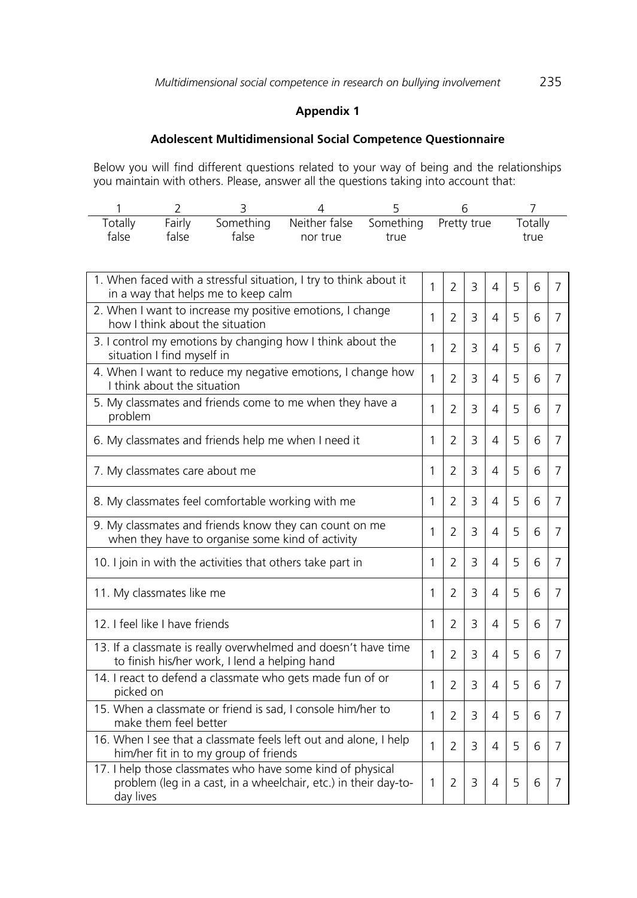### **Appendix 1**

# **Adolescent Multidimensional Social Competence Questionnaire**

Below you will find different questions related to your way of being and the relationships you maintain with others. Please, answer all the questions taking into account that:

| Totally | Fairly |       | Something Neither false Something Pretty true |      | Totallv |
|---------|--------|-------|-----------------------------------------------|------|---------|
| false   | talse  | false | nor true                                      | true | true    |

| 1. When faced with a stressful situation, I try to think about it<br>in a way that helps me to keep calm                                   | 1 | $\overline{2}$ | 3              | 4 | 5 | 6 | 7              |
|--------------------------------------------------------------------------------------------------------------------------------------------|---|----------------|----------------|---|---|---|----------------|
| 2. When I want to increase my positive emotions, I change<br>how I think about the situation                                               | 1 | $\overline{2}$ | 3              | 4 | 5 | 6 | 7              |
| 3. I control my emotions by changing how I think about the<br>situation I find myself in                                                   | 1 | $\overline{2}$ | 3              | 4 | 5 | 6 | $\overline{7}$ |
| 4. When I want to reduce my negative emotions, I change how<br>I think about the situation                                                 | 1 | $\overline{2}$ | 3              | 4 | 5 | 6 | 7              |
| 5. My classmates and friends come to me when they have a<br>problem                                                                        | 1 | $\overline{2}$ | 3              | 4 | 5 | 6 | 7              |
| 6. My classmates and friends help me when I need it                                                                                        | 1 | $\overline{2}$ | 3              | 4 | 5 | 6 | 7              |
| 7. My classmates care about me                                                                                                             | 1 | $\overline{2}$ | 3              | 4 | 5 | 6 | 7              |
| 8. My classmates feel comfortable working with me                                                                                          | 1 | $\overline{2}$ | 3              | 4 | 5 | 6 | 7              |
| 9. My classmates and friends know they can count on me<br>when they have to organise some kind of activity                                 | 1 | $\overline{2}$ | 3              | 4 | 5 | 6 | 7              |
| 10. I join in with the activities that others take part in                                                                                 | 1 | $\overline{2}$ | 3              | 4 | 5 | 6 | 7              |
| 11. My classmates like me                                                                                                                  | 1 | $\mathcal{P}$  | 3              | 4 | 5 | 6 | 7              |
| 12. I feel like I have friends                                                                                                             | 1 | $\overline{2}$ | 3              | 4 | 5 | 6 | 7              |
| 13. If a classmate is really overwhelmed and doesn't have time<br>to finish his/her work, I lend a helping hand                            | 1 | $\overline{2}$ | 3              | 4 | 5 | 6 | 7              |
| 14. I react to defend a classmate who gets made fun of or<br>picked on                                                                     | 1 | $\overline{2}$ | $\overline{3}$ | 4 | 5 | 6 | $\overline{7}$ |
| 15. When a classmate or friend is sad, I console him/her to<br>make them feel better                                                       | 1 | $\overline{2}$ | 3              | 4 | 5 | 6 | 7              |
| 16. When I see that a classmate feels left out and alone, I help<br>him/her fit in to my group of friends                                  | 1 | $\overline{2}$ | 3              | 4 | 5 | 6 | 7              |
| 17. I help those classmates who have some kind of physical<br>problem (leg in a cast, in a wheelchair, etc.) in their day-to-<br>day lives | 1 | 2              | 3              | 4 | 5 | 6 | 7              |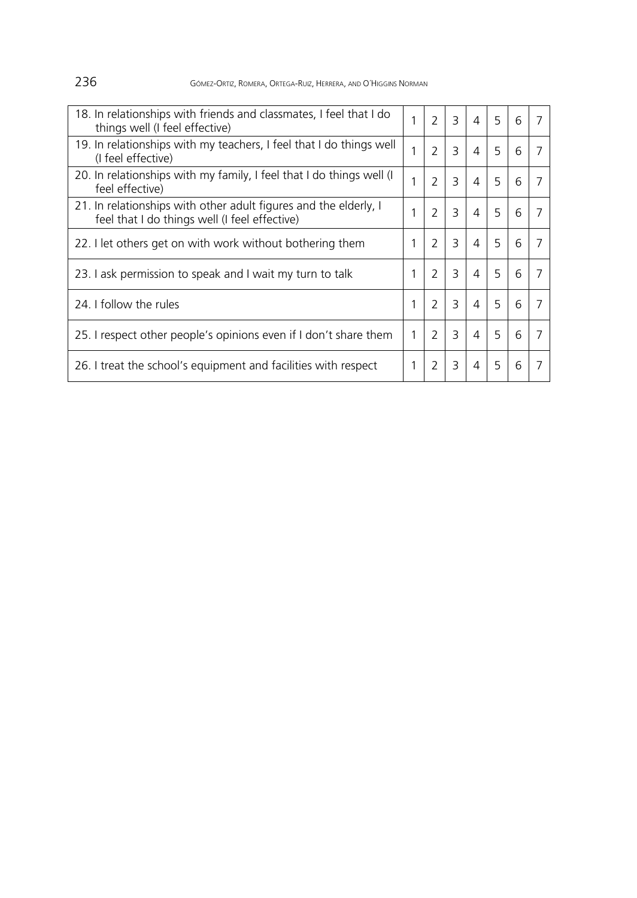236 GÓMEZ-ORTIZ, ROMERA, ORTEGA-RUIZ, HERRERA, AND O´HIGGINS NORMAN

| 18. In relationships with friends and classmates, I feel that I do<br>things well (I feel effective)              | 1 | $\mathcal{P}$            | 3 | $\overline{4}$ | 5 | 6 |  |
|-------------------------------------------------------------------------------------------------------------------|---|--------------------------|---|----------------|---|---|--|
| 19. In relationships with my teachers, I feel that I do things well<br>(I feel effective)                         | 1 | $\mathcal{P}$            | 3 | 4              | 5 | 6 |  |
| 20. In relationships with my family, I feel that I do things well (I<br>feel effective)                           |   | $\mathcal{P}$            | 3 | $\overline{4}$ | 5 | 6 |  |
| 21. In relationships with other adult figures and the elderly, I<br>feel that I do things well (I feel effective) | 1 | $\mathcal{P}$            | 3 | 4              | 5 | 6 |  |
| 22. I let others get on with work without bothering them                                                          |   | $\mathcal{P}$            | 3 | 4              | 5 | 6 |  |
| 23. Lask permission to speak and I wait my turn to talk                                                           | 1 | $\overline{\phantom{0}}$ | 3 | 4              | 5 | 6 |  |
| 24. I follow the rules                                                                                            | 1 | 2                        | 3 | $\overline{4}$ | 5 | 6 |  |
| 25. I respect other people's opinions even if I don't share them                                                  | 1 | 2                        | 3 | 4              | 5 | 6 |  |
| 26. I treat the school's equipment and facilities with respect                                                    |   | 2                        | 3 | 4              | 5 | 6 |  |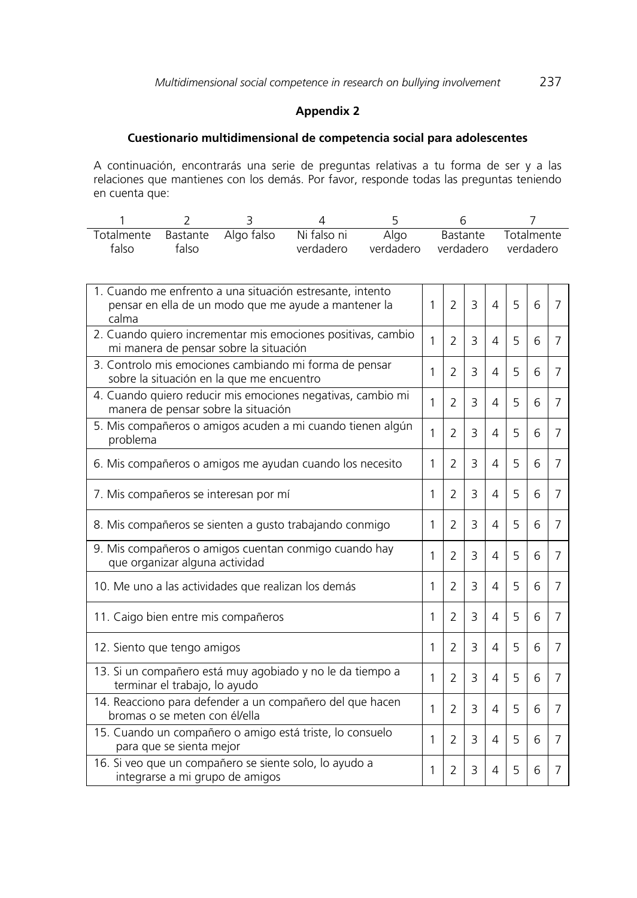### **Appendix 2**

# **Cuestionario multidimensional de competencia social para adolescentes**

A continuación, encontrarás una serie de preguntas relativas a tu forma de ser y a las relaciones que mantienes con los demás. Por favor, responde todas las preguntas teniendo en cuenta que:

| falso | talso | Totalmente Bastante Algo falso Ni falso ni<br>verdadero | Algo | verdadero verdadero verdadero | Bastante Totalmente |
|-------|-------|---------------------------------------------------------|------|-------------------------------|---------------------|

| 1. Cuando me enfrento a una situación estresante, intento<br>pensar en ella de un modo que me ayude a mantener la<br>calma | 1 | $\overline{2}$ | 3 | 4        | 5 | 6 | 7 |
|----------------------------------------------------------------------------------------------------------------------------|---|----------------|---|----------|---|---|---|
| 2. Cuando quiero incrementar mis emociones positivas, cambio<br>mi manera de pensar sobre la situación                     | 1 | 2              | 3 | 4        | 5 | 6 | 7 |
| 3. Controlo mis emociones cambiando mi forma de pensar<br>sobre la situación en la que me encuentro                        | 1 | $\overline{2}$ | 3 | 4        | 5 | 6 | 7 |
| 4. Cuando quiero reducir mis emociones negativas, cambio mi<br>manera de pensar sobre la situación                         | 1 | 2              | 3 | 4        | 5 | 6 | 7 |
| 5. Mis compañeros o amigos acuden a mi cuando tienen algún<br>problema                                                     | 1 | $\overline{2}$ | 3 | 4        | 5 | 6 | 7 |
| 6. Mis compañeros o amigos me ayudan cuando los necesito                                                                   | 1 | $\overline{2}$ | 3 | 4        | 5 | 6 | 7 |
| 7. Mis compañeros se interesan por mí                                                                                      | 1 | $\overline{2}$ | 3 | 4        | 5 | 6 | 7 |
| 8. Mis compañeros se sienten a gusto trabajando conmigo                                                                    | 1 | $\overline{2}$ | 3 | 4        | 5 | 6 | 7 |
| 9. Mis compañeros o amigos cuentan conmigo cuando hay<br>que organizar alguna actividad                                    | 1 | 2              | 3 | 4        | 5 | 6 | 7 |
| 10. Me uno a las actividades que realizan los demás                                                                        | 1 | 2              | 3 | 4        | 5 | 6 | 7 |
| 11. Caigo bien entre mis compañeros                                                                                        | 1 | $\overline{2}$ | 3 | 4        | 5 | 6 | 7 |
| 12. Siento que tengo amigos                                                                                                | 1 | $\overline{2}$ | 3 | $\Delta$ | 5 | 6 | 7 |
| 13. Si un compañero está muy agobiado y no le da tiempo a<br>terminar el trabajo, lo ayudo                                 | 1 | $\overline{2}$ | 3 | 4        | 5 | 6 | 7 |
| 14. Reacciono para defender a un compañero del que hacen<br>bromas o se meten con él/ella                                  | 1 | $\overline{2}$ | 3 | 4        | 5 | 6 | 7 |
| 15. Cuando un compañero o amigo está triste, lo consuelo<br>para que se sienta mejor                                       | 1 | $\overline{2}$ | 3 | 4        | 5 | 6 | 7 |
| 16. Si veo que un compañero se siente solo, lo ayudo a<br>integrarse a mi grupo de amigos                                  | 1 | 2              | 3 | 4        | 5 | 6 | 7 |